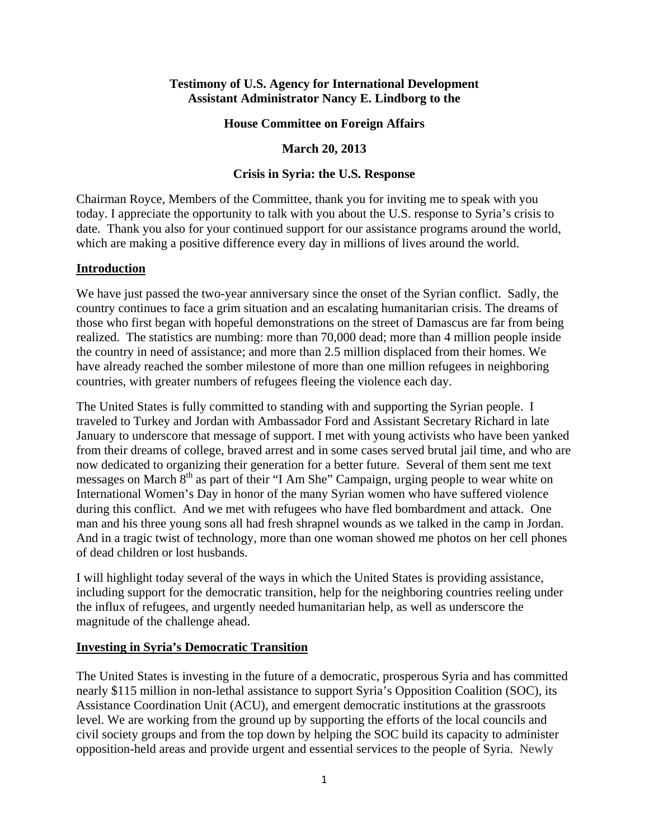### **Testimony of U.S. Agency for International Development Assistant Administrator Nancy E. Lindborg to the**

### **House Committee on Foreign Affairs**

## **March 20, 2013**

### **Crisis in Syria: the U.S. Response**

Chairman Royce, Members of the Committee, thank you for inviting me to speak with you today. I appreciate the opportunity to talk with you about the U.S. response to Syria's crisis to date. Thank you also for your continued support for our assistance programs around the world, which are making a positive difference every day in millions of lives around the world.

### **Introduction**

We have just passed the two-year anniversary since the onset of the Syrian conflict. Sadly, the country continues to face a grim situation and an escalating humanitarian crisis. The dreams of those who first began with hopeful demonstrations on the street of Damascus are far from being realized. The statistics are numbing: more than 70,000 dead; more than 4 million people inside the country in need of assistance; and more than 2.5 million displaced from their homes. We have already reached the somber milestone of more than one million refugees in neighboring countries, with greater numbers of refugees fleeing the violence each day.

The United States is fully committed to standing with and supporting the Syrian people. I traveled to Turkey and Jordan with Ambassador Ford and Assistant Secretary Richard in late January to underscore that message of support. I met with young activists who have been yanked from their dreams of college, braved arrest and in some cases served brutal jail time, and who are now dedicated to organizing their generation for a better future. Several of them sent me text messages on March  $8<sup>th</sup>$  as part of their "I Am She" Campaign, urging people to wear white on International Women's Day in honor of the many Syrian women who have suffered violence during this conflict. And we met with refugees who have fled bombardment and attack. One man and his three young sons all had fresh shrapnel wounds as we talked in the camp in Jordan. And in a tragic twist of technology, more than one woman showed me photos on her cell phones of dead children or lost husbands.

I will highlight today several of the ways in which the United States is providing assistance, including support for the democratic transition, help for the neighboring countries reeling under the influx of refugees, and urgently needed humanitarian help, as well as underscore the magnitude of the challenge ahead.

#### **Investing in Syria's Democratic Transition**

The United States is investing in the future of a democratic, prosperous Syria and has committed nearly \$115 million in non-lethal assistance to support Syria's Opposition Coalition (SOC), its Assistance Coordination Unit (ACU), and emergent democratic institutions at the grassroots level. We are working from the ground up by supporting the efforts of the local councils and civil society groups and from the top down by helping the SOC build its capacity to administer opposition-held areas and provide urgent and essential services to the people of Syria. Newly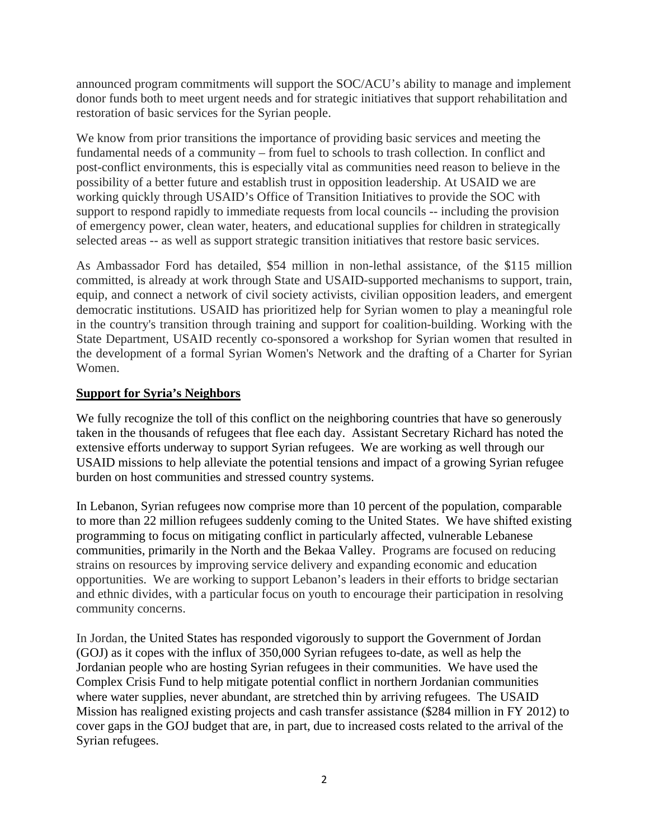announced program commitments will support the SOC/ACU's ability to manage and implement donor funds both to meet urgent needs and for strategic initiatives that support rehabilitation and restoration of basic services for the Syrian people.

We know from prior transitions the importance of providing basic services and meeting the fundamental needs of a community – from fuel to schools to trash collection. In conflict and post-conflict environments, this is especially vital as communities need reason to believe in the possibility of a better future and establish trust in opposition leadership. At USAID we are working quickly through USAID's Office of Transition Initiatives to provide the SOC with support to respond rapidly to immediate requests from local councils -- including the provision of emergency power, clean water, heaters, and educational supplies for children in strategically selected areas -- as well as support strategic transition initiatives that restore basic services.

As Ambassador Ford has detailed, \$54 million in non-lethal assistance, of the \$115 million committed, is already at work through State and USAID-supported mechanisms to support, train, equip, and connect a network of civil society activists, civilian opposition leaders, and emergent democratic institutions. USAID has prioritized help for Syrian women to play a meaningful role in the country's transition through training and support for coalition-building. Working with the State Department, USAID recently co-sponsored a workshop for Syrian women that resulted in the development of a formal Syrian Women's Network and the drafting of a Charter for Syrian Women.

# **Support for Syria's Neighbors**

We fully recognize the toll of this conflict on the neighboring countries that have so generously taken in the thousands of refugees that flee each day. Assistant Secretary Richard has noted the extensive efforts underway to support Syrian refugees. We are working as well through our USAID missions to help alleviate the potential tensions and impact of a growing Syrian refugee burden on host communities and stressed country systems.

In Lebanon, Syrian refugees now comprise more than 10 percent of the population, comparable to more than 22 million refugees suddenly coming to the United States. We have shifted existing programming to focus on mitigating conflict in particularly affected, vulnerable Lebanese communities, primarily in the North and the Bekaa Valley. Programs are focused on reducing strains on resources by improving service delivery and expanding economic and education opportunities. We are working to support Lebanon's leaders in their efforts to bridge sectarian and ethnic divides, with a particular focus on youth to encourage their participation in resolving community concerns.

In Jordan, the United States has responded vigorously to support the Government of Jordan (GOJ) as it copes with the influx of 350,000 Syrian refugees to-date, as well as help the Jordanian people who are hosting Syrian refugees in their communities. We have used the Complex Crisis Fund to help mitigate potential conflict in northern Jordanian communities where water supplies, never abundant, are stretched thin by arriving refugees. The USAID Mission has realigned existing projects and cash transfer assistance (\$284 million in FY 2012) to cover gaps in the GOJ budget that are, in part, due to increased costs related to the arrival of the Syrian refugees.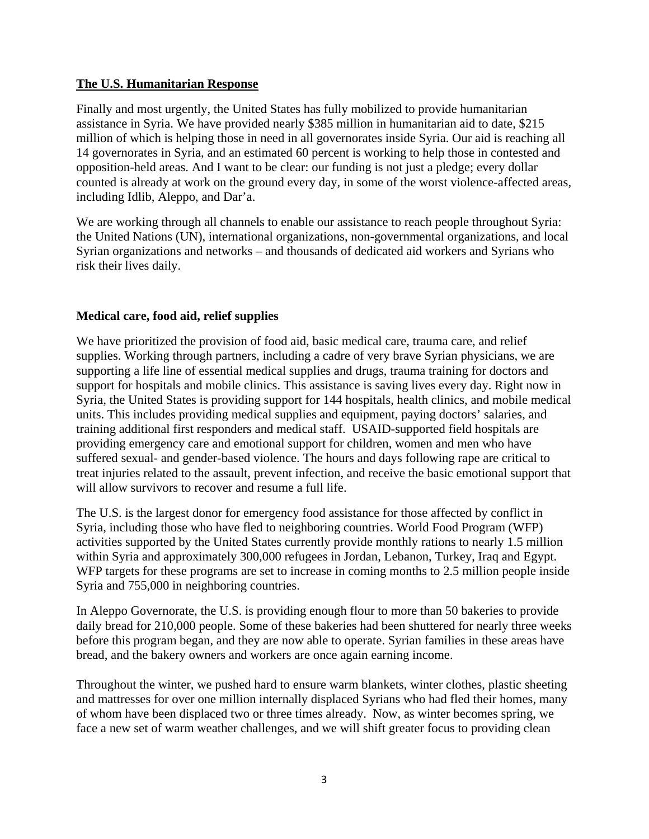# **The U.S. Humanitarian Response**

Finally and most urgently, the United States has fully mobilized to provide humanitarian assistance in Syria. We have provided nearly \$385 million in humanitarian aid to date, \$215 million of which is helping those in need in all governorates inside Syria. Our aid is reaching all 14 governorates in Syria, and an estimated 60 percent is working to help those in contested and opposition-held areas. And I want to be clear: our funding is not just a pledge; every dollar counted is already at work on the ground every day, in some of the worst violence-affected areas, including Idlib, Aleppo, and Dar'a.

We are working through all channels to enable our assistance to reach people throughout Syria: the United Nations (UN), international organizations, non-governmental organizations, and local Syrian organizations and networks – and thousands of dedicated aid workers and Syrians who risk their lives daily.

# **Medical care, food aid, relief supplies**

We have prioritized the provision of food aid, basic medical care, trauma care, and relief supplies. Working through partners, including a cadre of very brave Syrian physicians, we are supporting a life line of essential medical supplies and drugs, trauma training for doctors and support for hospitals and mobile clinics. This assistance is saving lives every day. Right now in Syria, the United States is providing support for 144 hospitals, health clinics, and mobile medical units. This includes providing medical supplies and equipment, paying doctors' salaries, and training additional first responders and medical staff. USAID-supported field hospitals are providing emergency care and emotional support for children, women and men who have suffered sexual- and gender-based violence. The hours and days following rape are critical to treat injuries related to the assault, prevent infection, and receive the basic emotional support that will allow survivors to recover and resume a full life.

The U.S. is the largest donor for emergency food assistance for those affected by conflict in Syria, including those who have fled to neighboring countries. World Food Program (WFP) activities supported by the United States currently provide monthly rations to nearly 1.5 million within Syria and approximately 300,000 refugees in Jordan, Lebanon, Turkey, Iraq and Egypt. WFP targets for these programs are set to increase in coming months to 2.5 million people inside Syria and 755,000 in neighboring countries.

In Aleppo Governorate, the U.S. is providing enough flour to more than 50 bakeries to provide daily bread for 210,000 people. Some of these bakeries had been shuttered for nearly three weeks before this program began, and they are now able to operate. Syrian families in these areas have bread, and the bakery owners and workers are once again earning income.

Throughout the winter, we pushed hard to ensure warm blankets, winter clothes, plastic sheeting and mattresses for over one million internally displaced Syrians who had fled their homes, many of whom have been displaced two or three times already. Now, as winter becomes spring, we face a new set of warm weather challenges, and we will shift greater focus to providing clean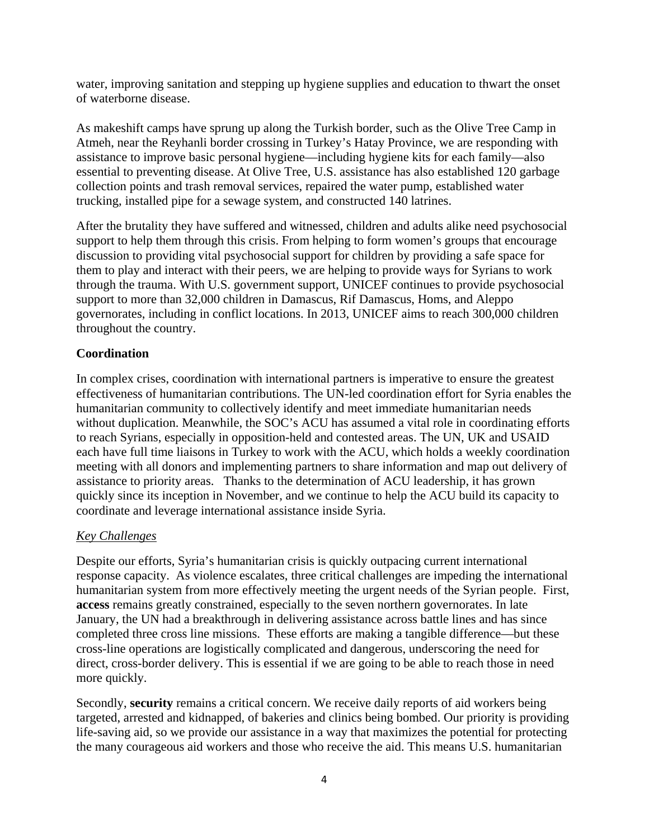water, improving sanitation and stepping up hygiene supplies and education to thwart the onset of waterborne disease.

As makeshift camps have sprung up along the Turkish border, such as the Olive Tree Camp in Atmeh, near the Reyhanli border crossing in Turkey's Hatay Province, we are responding with assistance to improve basic personal hygiene—including hygiene kits for each family—also essential to preventing disease. At Olive Tree, U.S. assistance has also established 120 garbage collection points and trash removal services, repaired the water pump, established water trucking, installed pipe for a sewage system, and constructed 140 latrines.

After the brutality they have suffered and witnessed, children and adults alike need psychosocial support to help them through this crisis. From helping to form women's groups that encourage discussion to providing vital psychosocial support for children by providing a safe space for them to play and interact with their peers, we are helping to provide ways for Syrians to work through the trauma. With U.S. government support, UNICEF continues to provide psychosocial support to more than 32,000 children in Damascus, Rif Damascus, Homs, and Aleppo governorates, including in conflict locations. In 2013, UNICEF aims to reach 300,000 children throughout the country.

# **Coordination**

In complex crises, coordination with international partners is imperative to ensure the greatest effectiveness of humanitarian contributions. The UN-led coordination effort for Syria enables the humanitarian community to collectively identify and meet immediate humanitarian needs without duplication. Meanwhile, the SOC's ACU has assumed a vital role in coordinating efforts to reach Syrians, especially in opposition-held and contested areas. The UN, UK and USAID each have full time liaisons in Turkey to work with the ACU, which holds a weekly coordination meeting with all donors and implementing partners to share information and map out delivery of assistance to priority areas. Thanks to the determination of ACU leadership, it has grown quickly since its inception in November, and we continue to help the ACU build its capacity to coordinate and leverage international assistance inside Syria.

## *Key Challenges*

Despite our efforts, Syria's humanitarian crisis is quickly outpacing current international response capacity. As violence escalates, three critical challenges are impeding the international humanitarian system from more effectively meeting the urgent needs of the Syrian people. First, **access** remains greatly constrained, especially to the seven northern governorates. In late January, the UN had a breakthrough in delivering assistance across battle lines and has since completed three cross line missions. These efforts are making a tangible difference—but these cross-line operations are logistically complicated and dangerous, underscoring the need for direct, cross-border delivery. This is essential if we are going to be able to reach those in need more quickly.

Secondly, **security** remains a critical concern. We receive daily reports of aid workers being targeted, arrested and kidnapped, of bakeries and clinics being bombed. Our priority is providing life-saving aid, so we provide our assistance in a way that maximizes the potential for protecting the many courageous aid workers and those who receive the aid. This means U.S. humanitarian